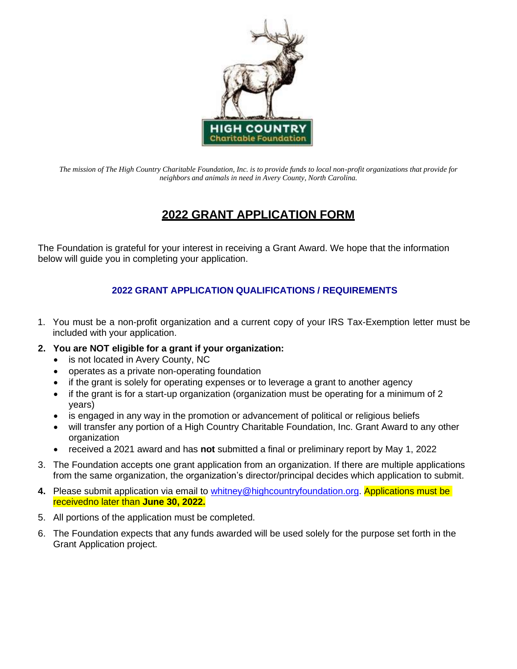

*The mission of The High Country Charitable Foundation, Inc. is to provide funds to local non-profit organizations that provide for neighbors and animals in need in Avery County, North Carolina.*

# **2022 GRANT APPLICATION FORM**

The Foundation is grateful for your interest in receiving a Grant Award. We hope that the information below will guide you in completing your application.

# **2022 GRANT APPLICATION QUALIFICATIONS / REQUIREMENTS**

- 1. You must be a non-profit organization and a current copy of your IRS Tax-Exemption letter must be included with your application.
- **2. You are NOT eligible for a grant if your organization:**
	- is not located in Avery County, NC
	- operates as a private non-operating foundation
	- if the grant is solely for operating expenses or to leverage a grant to another agency
	- if the grant is for a start-up organization (organization must be operating for a minimum of 2 years)
	- is engaged in any way in the promotion or advancement of political or religious beliefs
	- will transfer any portion of a High Country Charitable Foundation, Inc. Grant Award to any other organization
	- received a 2021 award and has **not** submitted a final or preliminary report by May 1, 2022
- 3. The Foundation accepts one grant application from an organization. If there are multiple applications from the same organization, the organization's director/principal decides which application to submit.
- 4. Please submit application via email to [whitney@highcountryfoundation.org.](mailto:whitney@highcountryfoundation.org) Applications must be receivedno later than **June 30, 2022.**
- 5. All portions of the application must be completed.
- 6. The Foundation expects that any funds awarded will be used solely for the purpose set forth in the Grant Application project.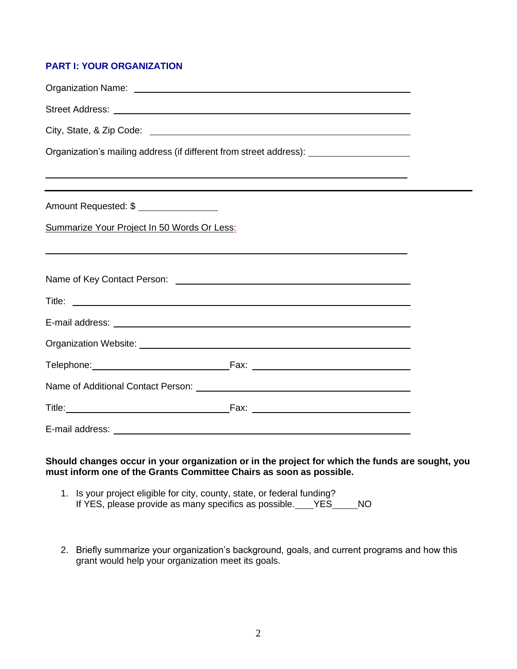# **PART I: YOUR ORGANIZATION**

| Street Address: <u>with a street and the street and the street and the street and the street and the street and the street and the street and the street and the street and the street and the street and the street and the str</u> |  |  |  |  |
|--------------------------------------------------------------------------------------------------------------------------------------------------------------------------------------------------------------------------------------|--|--|--|--|
|                                                                                                                                                                                                                                      |  |  |  |  |
| Organization's mailing address (if different from street address): ______________                                                                                                                                                    |  |  |  |  |
| <u> 2000 - Andrea Andrewski, amerikansk politik (d. 1989)</u>                                                                                                                                                                        |  |  |  |  |
| Amount Requested: \$                                                                                                                                                                                                                 |  |  |  |  |
| Summarize Your Project In 50 Words Or Less:<br>,我们也不会有什么。""我们的人,我们也不会有什么?""我们的人,我们也不会有什么?""我们的人,我们也不会有什么?""我们的人,我们也不会有什么?""我们的人                                                                                                      |  |  |  |  |
|                                                                                                                                                                                                                                      |  |  |  |  |
|                                                                                                                                                                                                                                      |  |  |  |  |
| E-mail address: <u>experience and a series of the series of the series of the series of the series of the series of the series of the series of the series of the series of the series of the series of the series of the series</u> |  |  |  |  |
|                                                                                                                                                                                                                                      |  |  |  |  |
|                                                                                                                                                                                                                                      |  |  |  |  |
|                                                                                                                                                                                                                                      |  |  |  |  |
|                                                                                                                                                                                                                                      |  |  |  |  |
| E-mail address: experience of the contract of the contract of the contract of the contract of the contract of                                                                                                                        |  |  |  |  |

**Should changes occur in your organization or in the project for which the funds are sought, you must inform one of the Grants Committee Chairs as soon as possible.**

- 1. Is your project eligible for city, county, state, or federal funding? If YES, please provide as many specifics as possible. YES\_\_\_\_\_NO
- 2. Briefly summarize your organization's background, goals, and current programs and how this grant would help your organization meet its goals.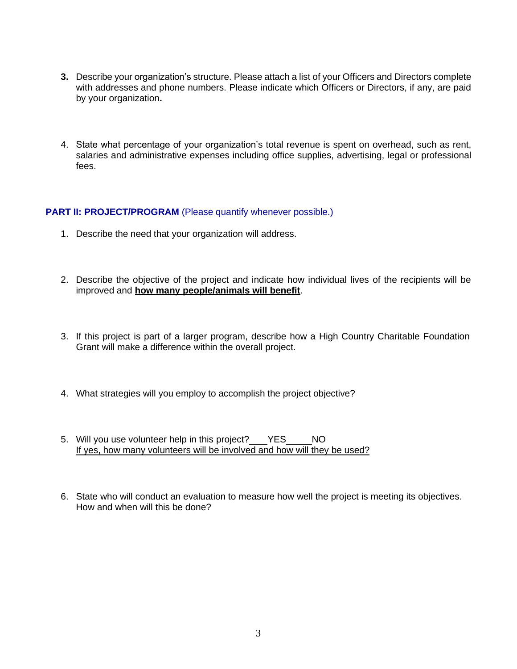- **3.** Describe your organization's structure. Please attach a list of your Officers and Directors complete with addresses and phone numbers. Please indicate which Officers or Directors, if any, are paid by your organization**.**
- 4. State what percentage of your organization's total revenue is spent on overhead, such as rent, salaries and administrative expenses including office supplies, advertising, legal or professional fees.

# **PART II: PROJECT/PROGRAM** (Please quantify whenever possible.)

- 1. Describe the need that your organization will address.
- 2. Describe the objective of the project and indicate how individual lives of the recipients will be improved and **how many people/animals will benefit**.
- 3. If this project is part of a larger program, describe how a High Country Charitable Foundation Grant will make a difference within the overall project.
- 4. What strategies will you employ to accomplish the project objective?
- 5. Will you use volunteer help in this project? YES NO If yes, how many volunteers will be involved and how will they be used?
- 6. State who will conduct an evaluation to measure how well the project is meeting its objectives. How and when will this be done?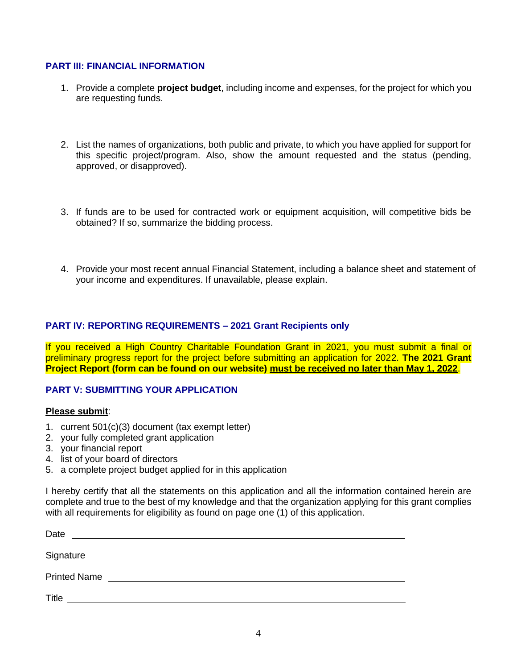#### **PART III: FINANCIAL INFORMATION**

- 1. Provide a complete **project budget**, including income and expenses, for the project for which you are requesting funds.
- 2. List the names of organizations, both public and private, to which you have applied for support for this specific project/program. Also, show the amount requested and the status (pending, approved, or disapproved).
- 3. If funds are to be used for contracted work or equipment acquisition, will competitive bids be obtained? If so, summarize the bidding process.
- 4. Provide your most recent annual Financial Statement, including a balance sheet and statement of your income and expenditures. If unavailable, please explain.

#### **PART IV: REPORTING REQUIREMENTS – 2021 Grant Recipients only**

If you received a High Country Charitable Foundation Grant in 2021, you must submit a final or preliminary progress report for the project before submitting an application for 2022. **The 2021 Grant Project Report (form can be found on our website) must be received no later than May 1, 2022**.

#### **PART V: SUBMITTING YOUR APPLICATION**

#### **Please submit**:

- 1. current 501(c)(3) document (tax exempt letter)
- 2. your fully completed grant application
- 3. your financial report
- 4. list of your board of directors
- 5. a complete project budget applied for in this application

I hereby certify that all the statements on this application and all the information contained herein are complete and true to the best of my knowledge and that the organization applying for this grant complies with all requirements for eligibility as found on page one (1) of this application.

| Date                |  |  |  |
|---------------------|--|--|--|
| Signature           |  |  |  |
| <b>Printed Name</b> |  |  |  |
| <b>Title</b>        |  |  |  |